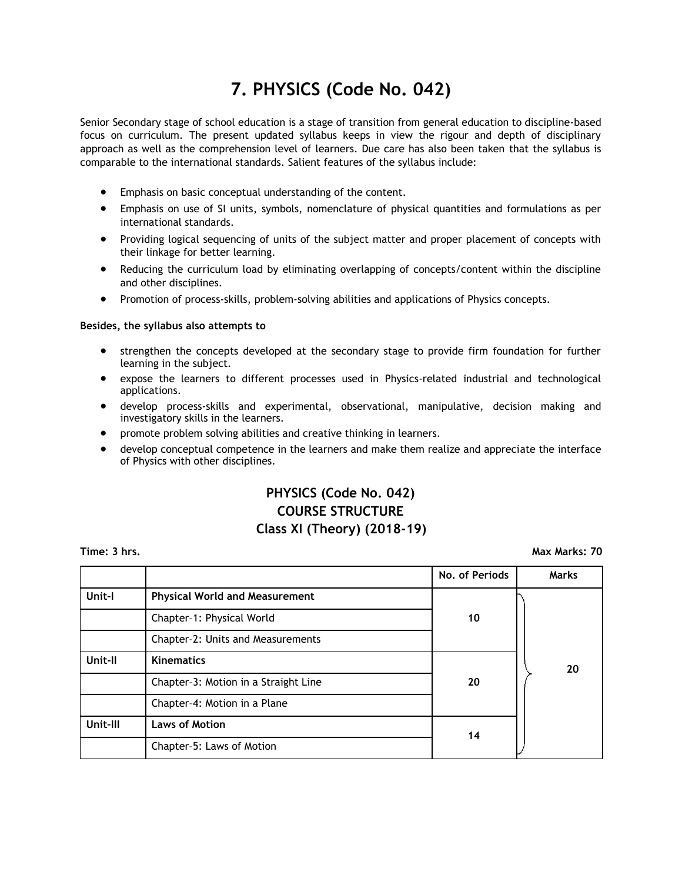# **7. PHYSICS (Code No. 042)**

Senior Secondary stage of school education is a stage of transition from general education to discipline-based focus on curriculum. The present updated syllabus keeps in view the rigour and depth of disciplinary approach as well as the comprehension level of learners. Due care has also been taken that the syllabus is comparable to the international standards. Salient features of the syllabus include:

- Emphasis on basic conceptual understanding of the content.
- Emphasis on use of SI units, symbols, nomenclature of physical quantities and formulations as per international standards.
- Providing logical sequencing of units of the subject matter and proper placement of concepts with their linkage for better learning.
- Reducing the curriculum load by eliminating overlapping of concepts/content within the discipline and other disciplines.
- Promotion of process-skills, problem-solving abilities and applications of Physics concepts.

### **Besides, the syllabus also attempts to**

- strengthen the concepts developed at the secondary stage to provide firm foundation for further learning in the subject.
- expose the learners to different processes used in Physics-related industrial and technological applications.
- develop process-skills and experimental, observational, manipulative, decision making and investigatory skills in the learners.
- **•** promote problem solving abilities and creative thinking in learners.
- develop conceptual competence in the learners and make them realize and appreciate the interface of Physics with other disciplines.

# **PHYSICS (Code No. 042) COURSE STRUCTURE Class XI (Theory) (2018-19)**

**Time: 3 hrs. Max Marks: 70**

|          |                                       | No. of Periods | <b>Marks</b> |
|----------|---------------------------------------|----------------|--------------|
| Unit-I   | <b>Physical World and Measurement</b> |                |              |
|          | Chapter-1: Physical World             | 10             |              |
|          | Chapter-2: Units and Measurements     |                |              |
| Unit-II  | <b>Kinematics</b>                     |                | 20           |
|          | Chapter-3: Motion in a Straight Line  | 20             |              |
|          | Chapter-4: Motion in a Plane          |                |              |
| Unit-III | <b>Laws of Motion</b>                 | 14             |              |
|          | Chapter-5: Laws of Motion             |                |              |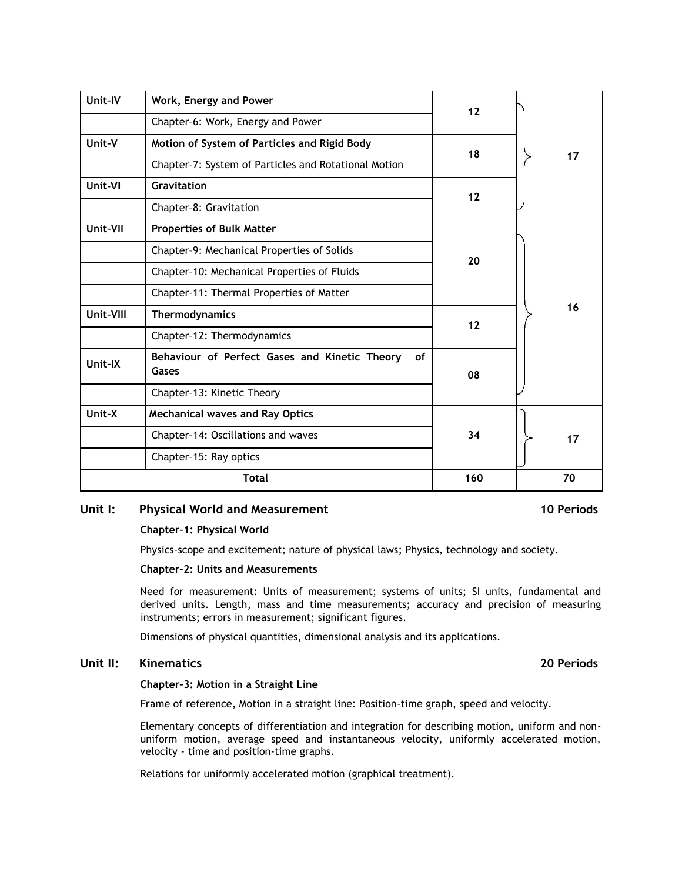| Unit-IV                | Work, Energy and Power                                       | 12  |    |
|------------------------|--------------------------------------------------------------|-----|----|
|                        | Chapter-6: Work, Energy and Power                            |     |    |
| Unit-V                 | Motion of System of Particles and Rigid Body                 |     |    |
|                        | Chapter-7: System of Particles and Rotational Motion         | 18  | 17 |
| Unit-VI<br>Gravitation |                                                              | 12  |    |
|                        | Chapter-8: Gravitation                                       |     |    |
| Unit-VII               | <b>Properties of Bulk Matter</b>                             |     |    |
|                        | Chapter-9: Mechanical Properties of Solids                   |     |    |
|                        | Chapter-10: Mechanical Properties of Fluids                  | 20  |    |
|                        | Chapter-11: Thermal Properties of Matter                     |     |    |
| Unit-VIII              | Thermodynamics                                               | 12  | 16 |
|                        | Chapter-12: Thermodynamics                                   |     |    |
| Unit-IX                | Behaviour of Perfect Gases and Kinetic Theory<br>of<br>Gases | 08  |    |
|                        | Chapter-13: Kinetic Theory                                   |     |    |
| Unit-X                 | <b>Mechanical waves and Ray Optics</b>                       |     |    |
|                        | Chapter-14: Oscillations and waves                           | 34  | 17 |
|                        | Chapter-15: Ray optics                                       |     |    |
|                        | Total                                                        | 160 | 70 |

## **Unit I: Physical World and Measurement 10 Periods**

### **Chapter–1: Physical World**

Physics-scope and excitement; nature of physical laws; Physics, technology and society.

### **Chapter–2: Units and Measurements**

Need for measurement: Units of measurement; systems of units; SI units, fundamental and derived units. Length, mass and time measurements; accuracy and precision of measuring instruments; errors in measurement; significant figures.

Dimensions of physical quantities, dimensional analysis and its applications.

# **Unit II: Kinematics 20 Periods**

### **Chapter–3: Motion in a Straight Line**

Frame of reference, Motion in a straight line: Position-time graph, speed and velocity.

Elementary concepts of differentiation and integration for describing motion, uniform and nonuniform motion, average speed and instantaneous velocity, uniformly accelerated motion, velocity - time and position-time graphs.

Relations for uniformly accelerated motion (graphical treatment).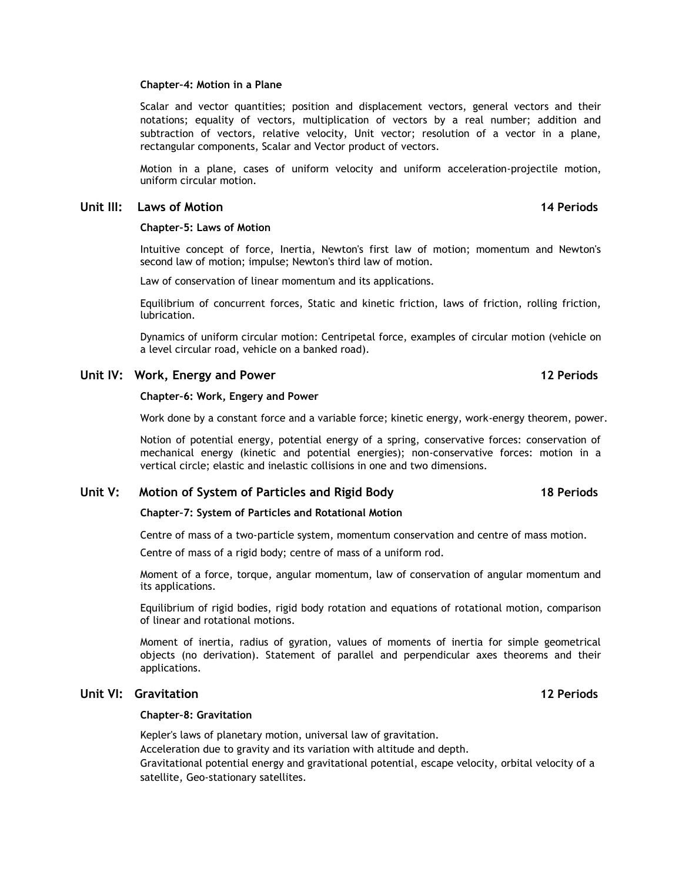### **Chapter–4: Motion in a Plane**

Scalar and vector quantities; position and displacement vectors, general vectors and their notations; equality of vectors, multiplication of vectors by a real number; addition and subtraction of vectors, relative velocity, Unit vector; resolution of a vector in a plane, rectangular components, Scalar and Vector product of vectors.

Motion in a plane, cases of uniform velocity and uniform acceleration-projectile motion, uniform circular motion.

## **Unit III: Laws of Motion 14 Periods**

## **Chapter–5: Laws of Motion**

Intuitive concept of force, Inertia, Newton's first law of motion; momentum and Newton's second law of motion; impulse; Newton's third law of motion.

Law of conservation of linear momentum and its applications.

Equilibrium of concurrent forces, Static and kinetic friction, laws of friction, rolling friction, lubrication.

Dynamics of uniform circular motion: Centripetal force, examples of circular motion (vehicle on a level circular road, vehicle on a banked road).

## **Unit IV: Work, Energy and Power 12 Periods**

### **Chapter–6: Work, Engery and Power**

Work done by a constant force and a variable force; kinetic energy, work-energy theorem, power.

Notion of potential energy, potential energy of a spring, conservative forces: conservation of mechanical energy (kinetic and potential energies); non-conservative forces: motion in a vertical circle; elastic and inelastic collisions in one and two dimensions.

## **Unit V: Motion of System of Particles and Rigid Body 18 Periods**

## **Chapter–7: System of Particles and Rotational Motion**

Centre of mass of a two-particle system, momentum conservation and centre of mass motion. Centre of mass of a rigid body; centre of mass of a uniform rod.

Moment of a force, torque, angular momentum, law of conservation of angular momentum and its applications.

Equilibrium of rigid bodies, rigid body rotation and equations of rotational motion, comparison of linear and rotational motions.

Moment of inertia, radius of gyration, values of moments of inertia for simple geometrical objects (no derivation). Statement of parallel and perpendicular axes theorems and their applications.

# **Unit VI: Gravitation 12 Periods**

### **Chapter–8: Gravitation**

Kepler's laws of planetary motion, universal law of gravitation.

Acceleration due to gravity and its variation with altitude and depth.

Gravitational potential energy and gravitational potential, escape velocity, orbital velocity of a satellite, Geo-stationary satellites.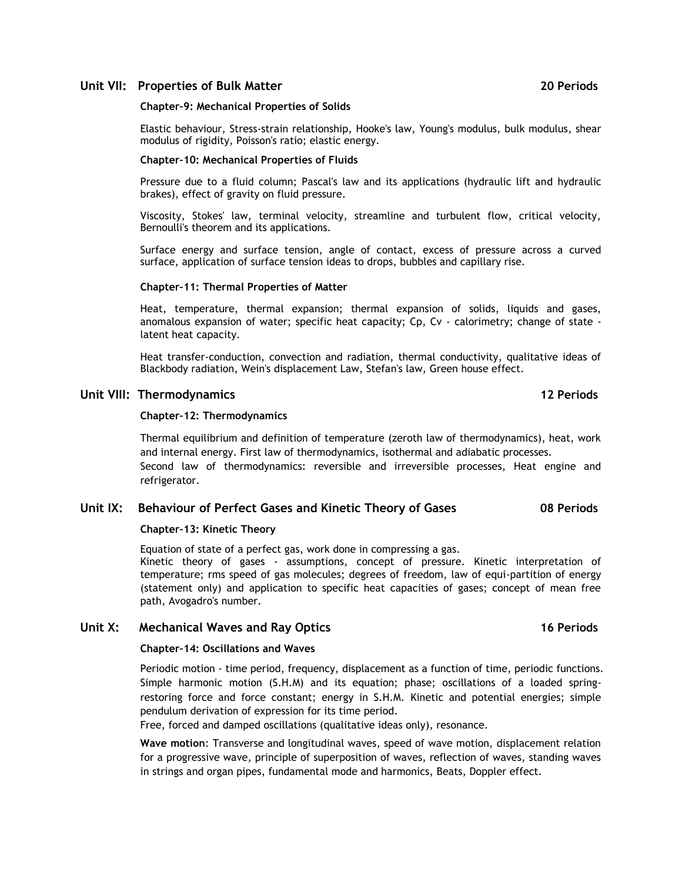## **Unit VII: Properties of Bulk Matter 20 Periods**

### **Chapter–9: Mechanical Properties of Solids**

Elastic behaviour, Stress-strain relationship, Hooke's law, Young's modulus, bulk modulus, shear modulus of rigidity, Poisson's ratio; elastic energy.

### **Chapter–10: Mechanical Properties of Fluids**

Pressure due to a fluid column; Pascal's law and its applications (hydraulic lift and hydraulic brakes), effect of gravity on fluid pressure.

Viscosity, Stokes' law, terminal velocity, streamline and turbulent flow, critical velocity, Bernoulli's theorem and its applications.

Surface energy and surface tension, angle of contact, excess of pressure across a curved surface, application of surface tension ideas to drops, bubbles and capillary rise.

### **Chapter–11: Thermal Properties of Matter**

Heat, temperature, thermal expansion; thermal expansion of solids, liquids and gases, anomalous expansion of water; specific heat capacity; Cp, Cv - calorimetry; change of state latent heat capacity.

Heat transfer-conduction, convection and radiation, thermal conductivity, qualitative ideas of Blackbody radiation, Wein's displacement Law, Stefan's law, Green house effect.

### **Unit VIII: Thermodynamics 12 Periods**

### **Chapter–12: Thermodynamics**

Thermal equilibrium and definition of temperature (zeroth law of thermodynamics), heat, work and internal energy. First law of thermodynamics, isothermal and adiabatic processes.

Second law of thermodynamics: reversible and irreversible processes, Heat engine and refrigerator.

# **Unit IX: Behaviour of Perfect Gases and Kinetic Theory of Gases 08 Periods**

### **Chapter–13: Kinetic Theory**

Equation of state of a perfect gas, work done in compressing a gas. Kinetic theory of gases - assumptions, concept of pressure. Kinetic interpretation of temperature; rms speed of gas molecules; degrees of freedom, law of equi-partition of energy (statement only) and application to specific heat capacities of gases; concept of mean free path, Avogadro's number.

# **Unit X: Mechanical Waves and Ray Optics 16 Periods**

### **Chapter–14: Oscillations and Waves**

Periodic motion - time period, frequency, displacement as a function of time, periodic functions. Simple harmonic motion (S.H.M) and its equation; phase; oscillations of a loaded springrestoring force and force constant; energy in S.H.M. Kinetic and potential energies; simple pendulum derivation of expression for its time period.

Free, forced and damped oscillations (qualitative ideas only), resonance.

**Wave motion**: Transverse and longitudinal waves, speed of wave motion, displacement relation for a progressive wave, principle of superposition of waves, reflection of waves, standing waves in strings and organ pipes, fundamental mode and harmonics, Beats, Doppler effect.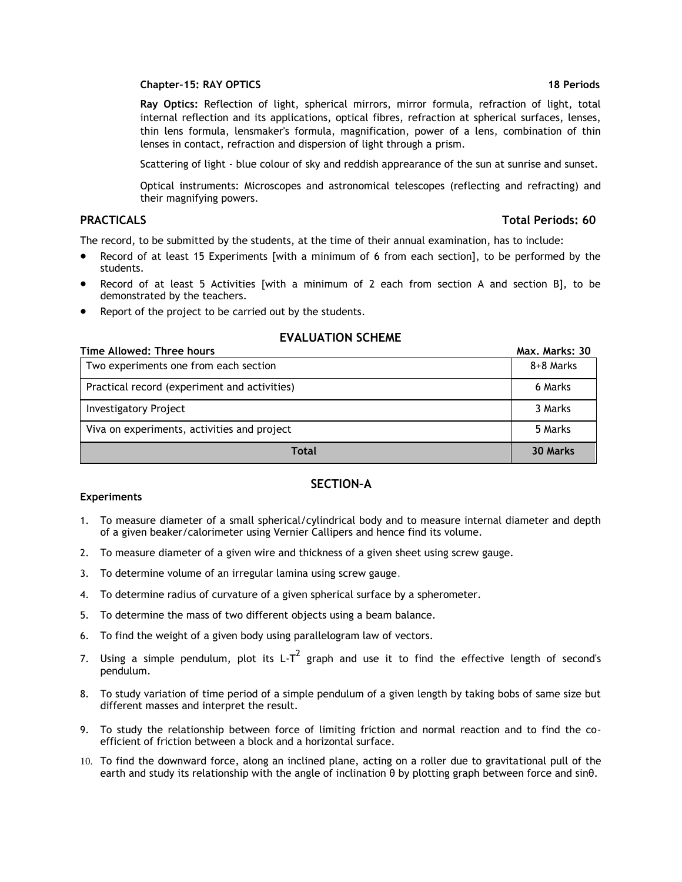### **Chapter–15: RAY OPTICS 18 Periods**

**Ray Optics:** Reflection of light, spherical mirrors, mirror formula, refraction of light, total internal reflection and its applications, optical fibres, refraction at spherical surfaces, lenses, thin lens formula, lensmaker's formula, magnification, power of a lens, combination of thin lenses in contact, refraction and dispersion of light through a prism.

Scattering of light - blue colour of sky and reddish apprearance of the sun at sunrise and sunset.

Optical instruments: Microscopes and astronomical telescopes (reflecting and refracting) and their magnifying powers.

# **PRACTICALS Total Periods: 60**

The record, to be submitted by the students, at the time of their annual examination, has to include:

- Record of at least 15 Experiments [with a minimum of 6 from each section], to be performed by the students.
- Record of at least 5 Activities [with a minimum of 2 each from section A and section B], to be demonstrated by the teachers.
- Report of the project to be carried out by the students.

# **EVALUATION SCHEME**

# **Time Allowed: Three hours Max. Marks: 30**

| THE AROWED. THEE HOUS                        | MA. MAI NJ. JV |
|----------------------------------------------|----------------|
| Two experiments one from each section        | 8+8 Marks      |
| Practical record (experiment and activities) | 6 Marks        |
| <b>Investigatory Project</b>                 | 3 Marks        |
| Viva on experiments, activities and project  | 5 Marks        |
| Total                                        | 30 Marks       |

# **SECTION–A**

### **Experiments**

- 1. To measure diameter of a small spherical/cylindrical body and to measure internal diameter and depth of a given beaker/calorimeter using Vernier Callipers and hence find its volume.
- 2. To measure diameter of a given wire and thickness of a given sheet using screw gauge.
- 3. To determine volume of an irregular lamina using screw gauge.
- 4. To determine radius of curvature of a given spherical surface by a spherometer.
- 5. To determine the mass of two different objects using a beam balance.
- 6. To find the weight of a given body using parallelogram law of vectors.
- 7. Using a simple pendulum, plot its L-T<sup>2</sup> graph and use it to find the effective length of second's pendulum.
- 8. To study variation of time period of a simple pendulum of a given length by taking bobs of same size but different masses and interpret the result.
- 9. To study the relationship between force of limiting friction and normal reaction and to find the coefficient of friction between a block and a horizontal surface.
- 10. To find the downward force, along an inclined plane, acting on a roller due to gravitational pull of the earth and study its relationship with the angle of inclination θ by plotting graph between force and sinθ.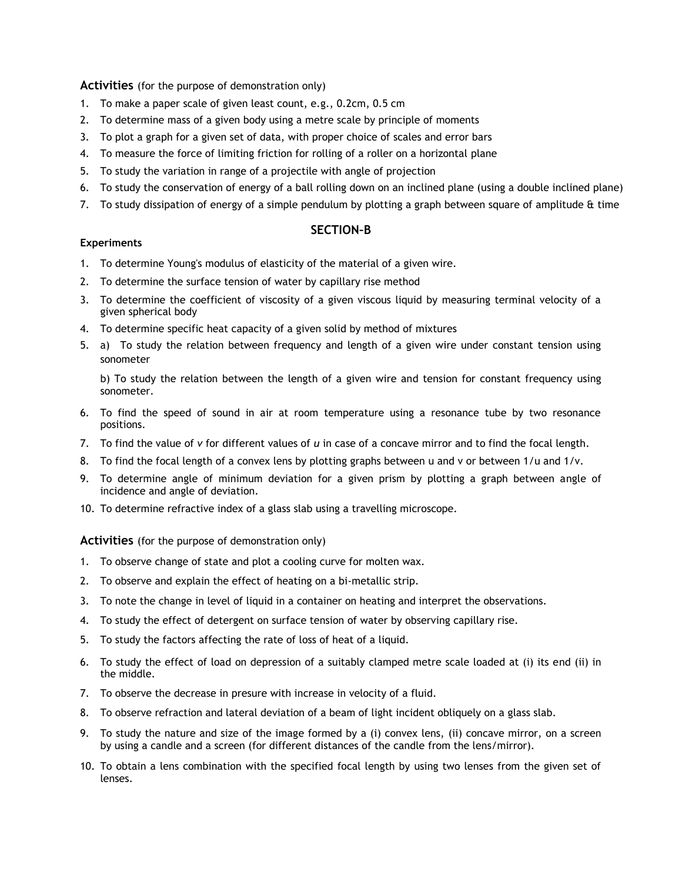**Activities** (for the purpose of demonstration only)

- 1. To make a paper scale of given least count, e.g., 0.2cm, 0.5 cm
- 2. To determine mass of a given body using a metre scale by principle of moments
- 3. To plot a graph for a given set of data, with proper choice of scales and error bars
- 4. To measure the force of limiting friction for rolling of a roller on a horizontal plane
- 5. To study the variation in range of a projectile with angle of projection
- 6. To study the conservation of energy of a ball rolling down on an inclined plane (using a double inclined plane)
- 7. To study dissipation of energy of a simple pendulum by plotting a graph between square of amplitude & time

# **SECTION–B**

## **Experiments**

- 1. To determine Young's modulus of elasticity of the material of a given wire.
- 2. To determine the surface tension of water by capillary rise method
- 3. To determine the coefficient of viscosity of a given viscous liquid by measuring terminal velocity of a given spherical body
- 4. To determine specific heat capacity of a given solid by method of mixtures
- 5. a) To study the relation between frequency and length of a given wire under constant tension using sonometer

b) To study the relation between the length of a given wire and tension for constant frequency using sonometer.

- 6. To find the speed of sound in air at room temperature using a resonance tube by two resonance positions.
- 7. To find the value of *v* for different values of *u* in case of a concave mirror and to find the focal length.
- 8. To find the focal length of a convex lens by plotting graphs between u and v or between 1/u and 1/v.
- 9. To determine angle of minimum deviation for a given prism by plotting a graph between angle of incidence and angle of deviation.
- 10. To determine refractive index of a glass slab using a travelling microscope.

## **Activities** (for the purpose of demonstration only)

- 1. To observe change of state and plot a cooling curve for molten wax.
- 2. To observe and explain the effect of heating on a bi-metallic strip.
- 3. To note the change in level of liquid in a container on heating and interpret the observations.
- 4. To study the effect of detergent on surface tension of water by observing capillary rise.
- 5. To study the factors affecting the rate of loss of heat of a liquid.
- 6. To study the effect of load on depression of a suitably clamped metre scale loaded at (i) its end (ii) in the middle.
- 7. To observe the decrease in presure with increase in velocity of a fluid.
- 8. To observe refraction and lateral deviation of a beam of light incident obliquely on a glass slab.
- 9. To study the nature and size of the image formed by a (i) convex lens, (ii) concave mirror, on a screen by using a candle and a screen (for different distances of the candle from the lens/mirror).
- 10. To obtain a lens combination with the specified focal length by using two lenses from the given set of lenses.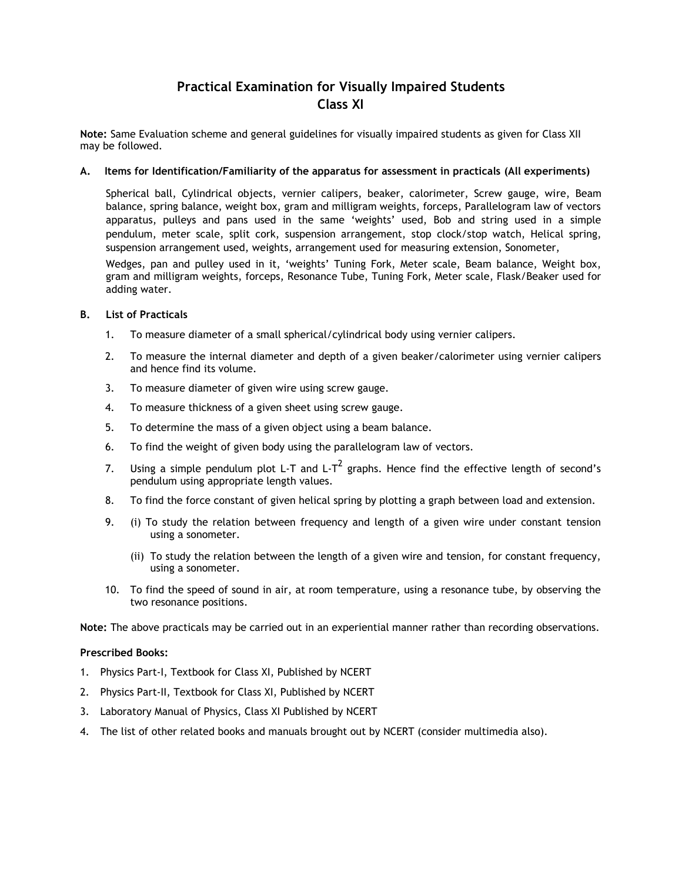# **Practical Examination for Visually Impaired Students Class XI**

**Note:** Same Evaluation scheme and general guidelines for visually impaired students as given for Class XII may be followed.

## **A. Items for Identification/Familiarity of the apparatus for assessment in practicals (All experiments)**

Spherical ball, Cylindrical objects, vernier calipers, beaker, calorimeter, Screw gauge, wire, Beam balance, spring balance, weight box, gram and milligram weights, forceps, Parallelogram law of vectors apparatus, pulleys and pans used in the same 'weights' used, Bob and string used in a simple pendulum, meter scale, split cork, suspension arrangement, stop clock/stop watch, Helical spring, suspension arrangement used, weights, arrangement used for measuring extension, Sonometer,

Wedges, pan and pulley used in it, 'weights' Tuning Fork, Meter scale, Beam balance, Weight box, gram and milligram weights, forceps, Resonance Tube, Tuning Fork, Meter scale, Flask/Beaker used for adding water.

### **B. List of Practicals**

- 1. To measure diameter of a small spherical/cylindrical body using vernier calipers.
- 2. To measure the internal diameter and depth of a given beaker/calorimeter using vernier calipers and hence find its volume.
- 3. To measure diameter of given wire using screw gauge.
- 4. To measure thickness of a given sheet using screw gauge.
- 5. To determine the mass of a given object using a beam balance.
- 6. To find the weight of given body using the parallelogram law of vectors.
- 7. Using a simple pendulum plot L-T and L-T<sup>2</sup> graphs. Hence find the effective length of second's pendulum using appropriate length values.
- 8. To find the force constant of given helical spring by plotting a graph between load and extension.
- 9. (i) To study the relation between frequency and length of a given wire under constant tension using a sonometer.
	- (ii) To study the relation between the length of a given wire and tension, for constant frequency, using a sonometer.
- 10. To find the speed of sound in air, at room temperature, using a resonance tube, by observing the two resonance positions.

**Note:** The above practicals may be carried out in an experiential manner rather than recording observations.

### **Prescribed Books:**

- 1. Physics Part-I, Textbook for Class XI, Published by NCERT
- 2. Physics Part-II, Textbook for Class XI, Published by NCERT
- 3. Laboratory Manual of Physics, Class XI Published by NCERT
- 4. The list of other related books and manuals brought out by NCERT (consider multimedia also).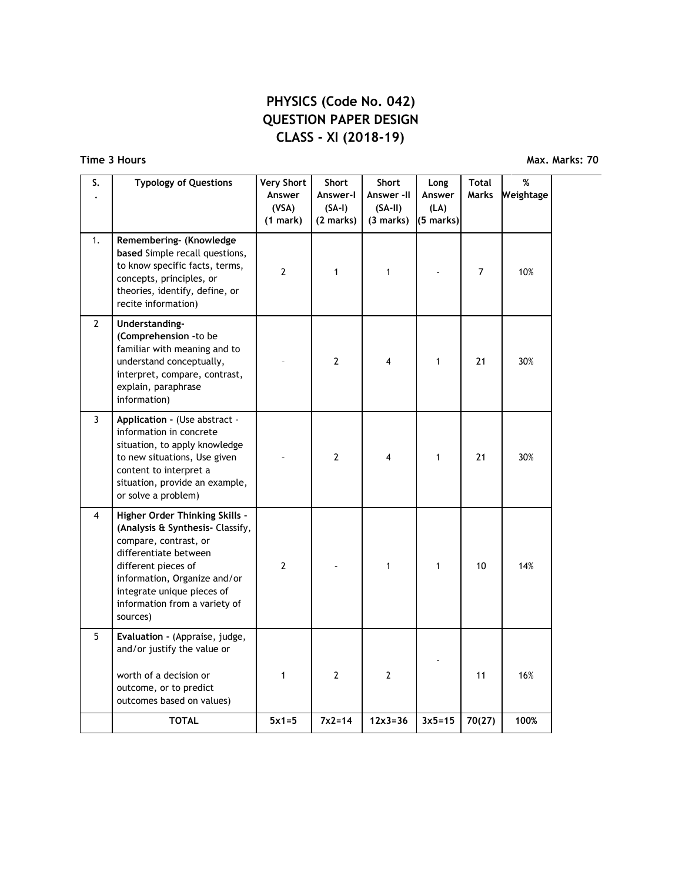# **PHYSICS (Code No. 042) QUESTION PAPER DESIGN CLASS - XI (2018-19)**

**Time 3 Hours Max. Marks: 70** 

| S.             | <b>Typology of Questions</b>                                                                                                                                                                                                                           | <b>Very Short</b><br>Answer<br>(VSA)<br>(1 mark) | <b>Short</b><br>Answer-I<br>$(SA-I)$<br>(2 marks) | <b>Short</b><br>Answer-II<br>$(SA-II)$<br>(3 marks) | Long<br>Answer<br>(LA)<br>(5 marks) | <b>Total</b><br>Marks | $\%$<br>Weightage |
|----------------|--------------------------------------------------------------------------------------------------------------------------------------------------------------------------------------------------------------------------------------------------------|--------------------------------------------------|---------------------------------------------------|-----------------------------------------------------|-------------------------------------|-----------------------|-------------------|
| 1.             | Remembering- (Knowledge<br>based Simple recall questions,<br>to know specific facts, terms,<br>concepts, principles, or<br>theories, identify, define, or<br>recite information)                                                                       | 2                                                | 1                                                 | $\mathbf{1}$                                        |                                     | $\overline{7}$        | 10%               |
| $\overline{2}$ | Understanding-<br>(Comprehension -to be<br>familiar with meaning and to<br>understand conceptually,<br>interpret, compare, contrast,<br>explain, paraphrase<br>information)                                                                            |                                                  | $\overline{2}$                                    | 4                                                   | $\mathbf{1}$                        | 21                    | 30%               |
| 3              | Application - (Use abstract -<br>information in concrete<br>situation, to apply knowledge<br>to new situations, Use given<br>content to interpret a<br>situation, provide an example,<br>or solve a problem)                                           |                                                  | $\overline{2}$                                    | 4                                                   | 1                                   | 21                    | 30%               |
| 4              | Higher Order Thinking Skills -<br>(Analysis & Synthesis- Classify,<br>compare, contrast, or<br>differentiate between<br>different pieces of<br>information, Organize and/or<br>integrate unique pieces of<br>information from a variety of<br>sources) | $\mathbf{2}$                                     |                                                   | 1                                                   | $\mathbf{1}$                        | 10                    | 14%               |
| 5              | Evaluation - (Appraise, judge,<br>and/or justify the value or<br>worth of a decision or<br>outcome, or to predict<br>outcomes based on values)                                                                                                         | 1                                                | $\overline{2}$                                    | $\mathbf{2}$                                        |                                     | 11                    | 16%               |
|                | <b>TOTAL</b>                                                                                                                                                                                                                                           | $5x1=5$                                          | $7x2 = 14$                                        | $12x3=36$                                           | $3x5 = 15$                          | 70(27)                | 100%              |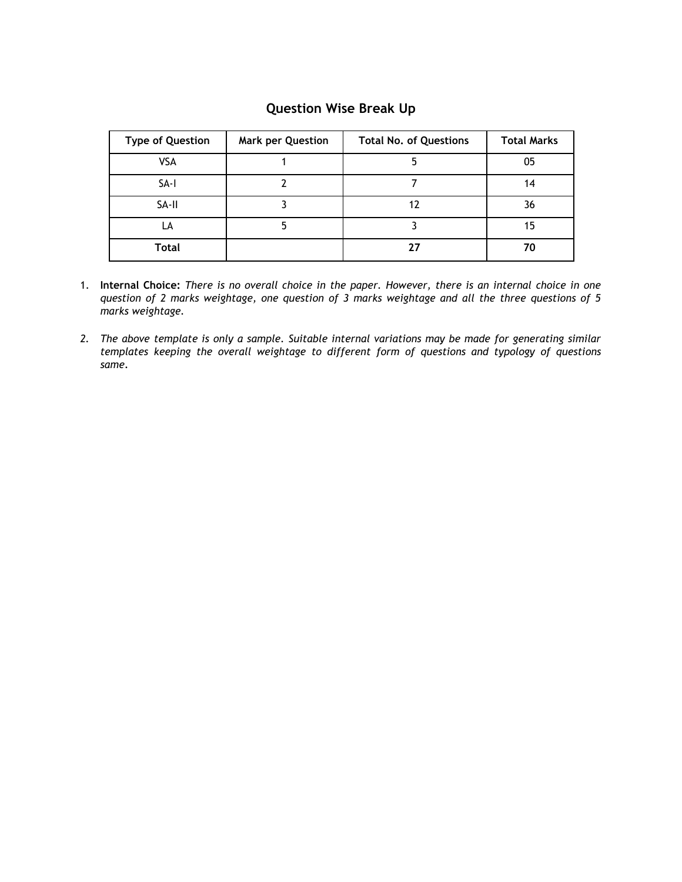# **Question Wise Break Up**

| <b>Type of Question</b> | <b>Mark per Question</b> | <b>Total No. of Questions</b> | <b>Total Marks</b> |
|-------------------------|--------------------------|-------------------------------|--------------------|
| VSA                     |                          |                               | 05                 |
| SA-I                    |                          |                               | 14                 |
| SA-II                   |                          |                               | 36                 |
| LA                      |                          |                               | 15                 |
| <b>Total</b>            |                          | דר                            | 70                 |

- 1. **Internal Choice:** *There is no overall choice in the paper. However, there is an internal choice in one question of 2 marks weightage, one question of 3 marks weightage and all the three questions of 5 marks weightage.*
- *2. The above template is only a sample. Suitable internal variations may be made for generating similar templates keeping the overall weightage to different form of questions and typology of questions same.*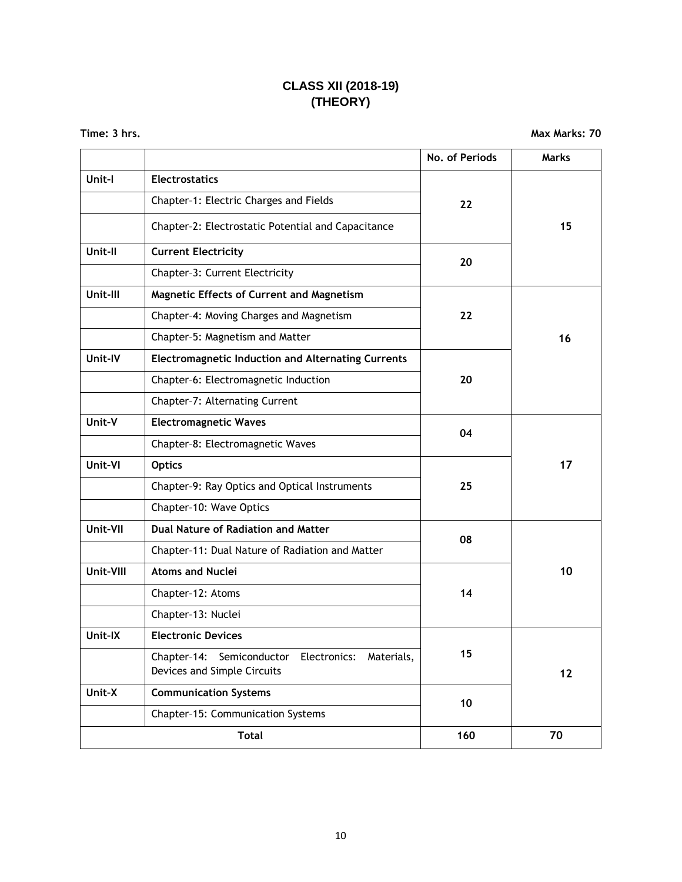# **CLASS XII (2018-19) (THEORY)**

**Time: 3 hrs. Max Marks: 70**

|           |                                                                                     | No. of Periods | Marks |  |
|-----------|-------------------------------------------------------------------------------------|----------------|-------|--|
| Unit-I    | <b>Electrostatics</b>                                                               |                |       |  |
|           | Chapter-1: Electric Charges and Fields                                              | 22             |       |  |
|           | Chapter-2: Electrostatic Potential and Capacitance                                  |                | 15    |  |
| Unit-II   | <b>Current Electricity</b>                                                          | 20             |       |  |
|           | Chapter-3: Current Electricity                                                      |                |       |  |
| Unit-III  | Magnetic Effects of Current and Magnetism                                           |                |       |  |
|           | Chapter-4: Moving Charges and Magnetism                                             | 22             |       |  |
|           | Chapter-5: Magnetism and Matter                                                     |                | 16    |  |
| Unit-IV   | <b>Electromagnetic Induction and Alternating Currents</b>                           |                |       |  |
|           | Chapter-6: Electromagnetic Induction                                                | 20             |       |  |
|           | Chapter-7: Alternating Current                                                      |                |       |  |
| Unit-V    | <b>Electromagnetic Waves</b>                                                        | 04             | 17    |  |
|           | Chapter-8: Electromagnetic Waves                                                    |                |       |  |
| Unit-VI   | <b>Optics</b>                                                                       |                |       |  |
|           | Chapter-9: Ray Optics and Optical Instruments                                       | 25             |       |  |
|           | Chapter-10: Wave Optics                                                             |                |       |  |
| Unit-VII  | <b>Dual Nature of Radiation and Matter</b>                                          | 08             |       |  |
|           | Chapter-11: Dual Nature of Radiation and Matter                                     |                |       |  |
| Unit-VIII | <b>Atoms and Nuclei</b>                                                             |                | 10    |  |
|           | Chapter-12: Atoms                                                                   | 14             |       |  |
|           | Chapter-13: Nuclei                                                                  |                |       |  |
| Unit-IX   | <b>Electronic Devices</b>                                                           |                |       |  |
|           | Chapter-14: Semiconductor Electronics:<br>Materials,<br>Devices and Simple Circuits | 15             | 12    |  |
| Unit-X    | <b>Communication Systems</b>                                                        | 10             |       |  |
|           | Chapter-15: Communication Systems                                                   |                |       |  |
|           | <b>Total</b>                                                                        | 160            | 70    |  |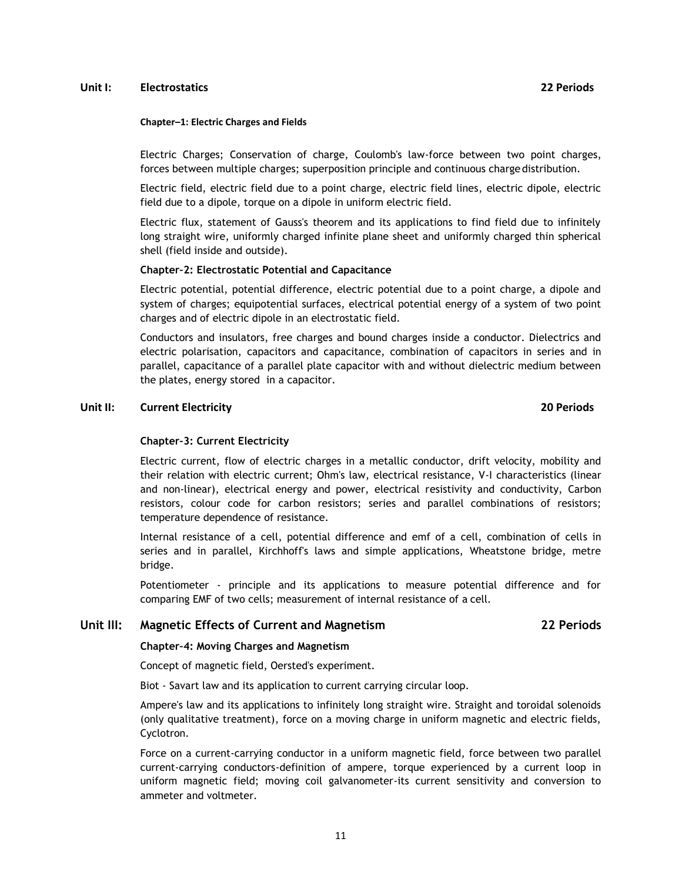# **Unit I: Electrostatics 22 Periods**

### **Chapter–1: Electric Charges and Fields**

Electric Charges; Conservation of charge, Coulomb's law-force between two point charges, forces between multiple charges; superposition principle and continuous chargedistribution.

Electric field, electric field due to a point charge, electric field lines, electric dipole, electric field due to a dipole, torque on a dipole in uniform electric field.

Electric flux, statement of Gauss's theorem and its applications to find field due to infinitely long straight wire, uniformly charged infinite plane sheet and uniformly charged thin spherical shell (field inside and outside).

## **Chapter–2: Electrostatic Potential and Capacitance**

Electric potential, potential difference, electric potential due to a point charge, a dipole and system of charges; equipotential surfaces, electrical potential energy of a system of two point charges and of electric dipole in an electrostatic field.

Conductors and insulators, free charges and bound charges inside a conductor. Dielectrics and electric polarisation, capacitors and capacitance, combination of capacitors in series and in parallel, capacitance of a parallel plate capacitor with and without dielectric medium between the plates, energy stored in a capacitor.

### **Unit II: Current Electricity 20 Periods**

## **Chapter–3: Current Electricity**

Electric current, flow of electric charges in a metallic conductor, drift velocity, mobility and their relation with electric current; Ohm's law, electrical resistance, V-I characteristics (linear and non-linear), electrical energy and power, electrical resistivity and conductivity, Carbon resistors, colour code for carbon resistors; series and parallel combinations of resistors; temperature dependence of resistance.

Internal resistance of a cell, potential difference and emf of a cell, combination of cells in series and in parallel, Kirchhoff's laws and simple applications, Wheatstone bridge, metre bridge.

Potentiometer - principle and its applications to measure potential difference and for comparing EMF of two cells; measurement of internal resistance of a cell.

# **Unit III: Magnetic Effects of Current and Magnetism 22 Periods**

### **Chapter–4: Moving Charges and Magnetism**

Concept of magnetic field, Oersted's experiment.

Biot - Savart law and its application to current carrying circular loop.

Ampere's law and its applications to infinitely long straight wire. Straight and toroidal solenoids (only qualitative treatment), force on a moving charge in uniform magnetic and electric fields, Cyclotron.

Force on a current-carrying conductor in a uniform magnetic field, force between two parallel current-carrying conductors-definition of ampere, torque experienced by a current loop in uniform magnetic field; moving coil galvanometer-its current sensitivity and conversion to ammeter and voltmeter.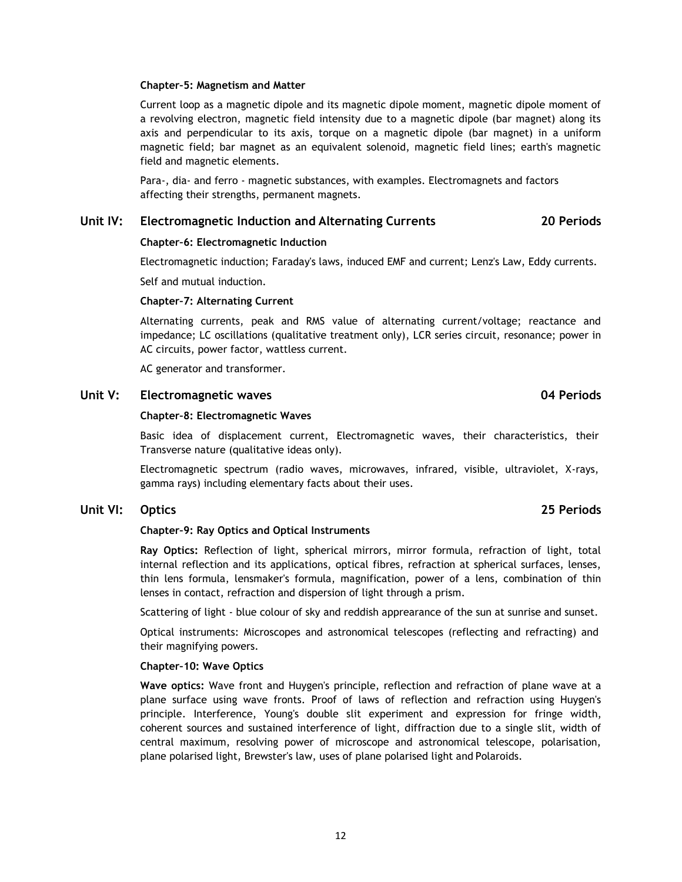# **Chapter–5: Magnetism and Matter**

Current loop as a magnetic dipole and its magnetic dipole moment, magnetic dipole moment of a revolving electron, magnetic field intensity due to a magnetic dipole (bar magnet) along its axis and perpendicular to its axis, torque on a magnetic dipole (bar magnet) in a uniform magnetic field; bar magnet as an equivalent solenoid, magnetic field lines; earth's magnetic field and magnetic elements.

Para-, dia- and ferro - magnetic substances, with examples. Electromagnets and factors affecting their strengths, permanent magnets.

## **Unit IV: Electromagnetic Induction and Alternating Currents 20 Periods**

### **Chapter–6: Electromagnetic Induction**

Electromagnetic induction; Faraday's laws, induced EMF and current; Lenz's Law, Eddy currents.

Self and mutual induction.

### **Chapter–7: Alternating Current**

Alternating currents, peak and RMS value of alternating current/voltage; reactance and impedance; LC oscillations (qualitative treatment only), LCR series circuit, resonance; power in AC circuits, power factor, wattless current.

AC generator and transformer.

## **Unit V: Electromagnetic waves 04 Periods**

### **Chapter–8: Electromagnetic Waves**

Basic idea of displacement current, Electromagnetic waves, their characteristics, their Transverse nature (qualitative ideas only).

Electromagnetic spectrum (radio waves, microwaves, infrared, visible, ultraviolet, X-rays, gamma rays) including elementary facts about their uses.

## **Unit VI: Optics 25 Periods**

### **Chapter–9: Ray Optics and Optical Instruments**

**Ray Optics:** Reflection of light, spherical mirrors, mirror formula, refraction of light, total internal reflection and its applications, optical fibres, refraction at spherical surfaces, lenses, thin lens formula, lensmaker's formula, magnification, power of a lens, combination of thin lenses in contact, refraction and dispersion of light through a prism.

Scattering of light - blue colour of sky and reddish apprearance of the sun at sunrise and sunset.

Optical instruments: Microscopes and astronomical telescopes (reflecting and refracting) and their magnifying powers.

### **Chapter–10: Wave Optics**

**Wave optics:** Wave front and Huygen's principle, reflection and refraction of plane wave at a plane surface using wave fronts. Proof of laws of reflection and refraction using Huygen's principle. Interference, Young's double slit experiment and expression for fringe width, coherent sources and sustained interference of light, diffraction due to a single slit, width of central maximum, resolving power of microscope and astronomical telescope, polarisation, plane polarised light, Brewster's law, uses of plane polarised light and Polaroids.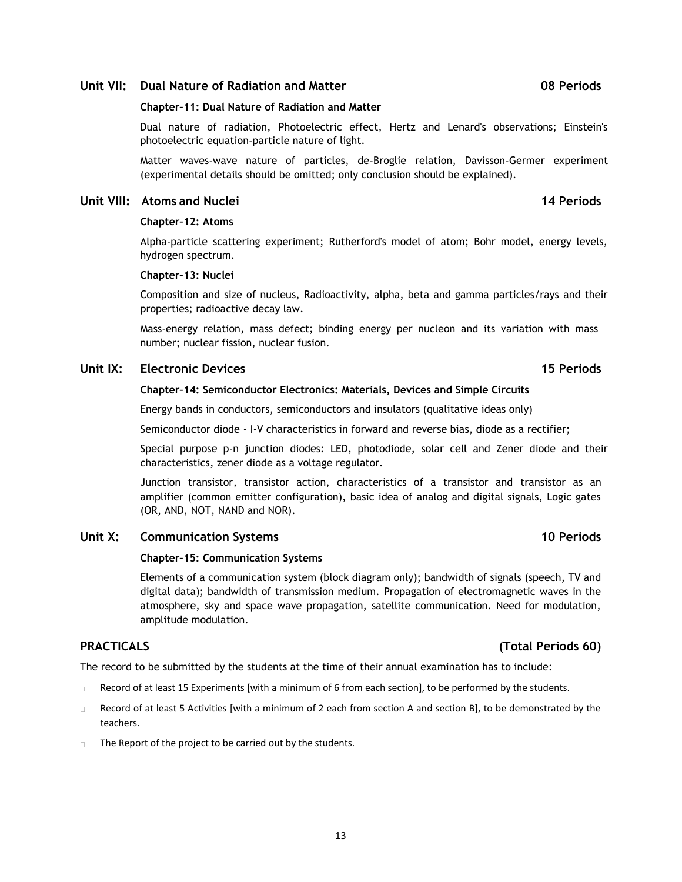# **Unit VII: Dual Nature of Radiation and Matter 08 Periods**

## **Chapter–11: Dual Nature of Radiation and Matter**

Dual nature of radiation, Photoelectric effect, Hertz and Lenard's observations; Einstein's photoelectric equation-particle nature of light.

Matter waves-wave nature of particles, de-Broglie relation, Davisson-Germer experiment (experimental details should be omitted; only conclusion should be explained).

# **Unit VIII: Atoms and Nuclei 14 Periods**

### **Chapter–12: Atoms**

Alpha-particle scattering experiment; Rutherford's model of atom; Bohr model, energy levels, hydrogen spectrum.

### **Chapter–13: Nuclei**

Composition and size of nucleus, Radioactivity, alpha, beta and gamma particles/rays and their properties; radioactive decay law.

Mass-energy relation, mass defect; binding energy per nucleon and its variation with mass number; nuclear fission, nuclear fusion.

# **Unit IX: Electronic Devices 15 Periods**

### **Chapter–14: Semiconductor Electronics: Materials, Devices and Simple Circuits**

Energy bands in conductors, semiconductors and insulators (qualitative ideas only)

Semiconductor diode - I-V characteristics in forward and reverse bias, diode as a rectifier;

Special purpose p-n junction diodes: LED, photodiode, solar cell and Zener diode and their characteristics, zener diode as a voltage regulator.

Junction transistor, transistor action, characteristics of a transistor and transistor as an amplifier (common emitter configuration), basic idea of analog and digital signals, Logic gates (OR, AND, NOT, NAND and NOR).

## **Unit X: Communication Systems 10 Periods**

## **Chapter–15: Communication Systems**

Elements of a communication system (block diagram only); bandwidth of signals (speech, TV and digital data); bandwidth of transmission medium. Propagation of electromagnetic waves in the atmosphere, sky and space wave propagation, satellite communication. Need for modulation, amplitude modulation.

The record to be submitted by the students at the time of their annual examination has to include:

- Record of at least 15 Experiments [with a minimum of 6 from each section], to be performed by the students.  $\Box$
- $\overline{\phantom{0}}$ Record of at least 5 Activities [with a minimum of 2 each from section A and section B], to be demonstrated by the teachers.
- The Report of the project to be carried out by the students. $\Box$

# **PRACTICALS (Total Periods 60)**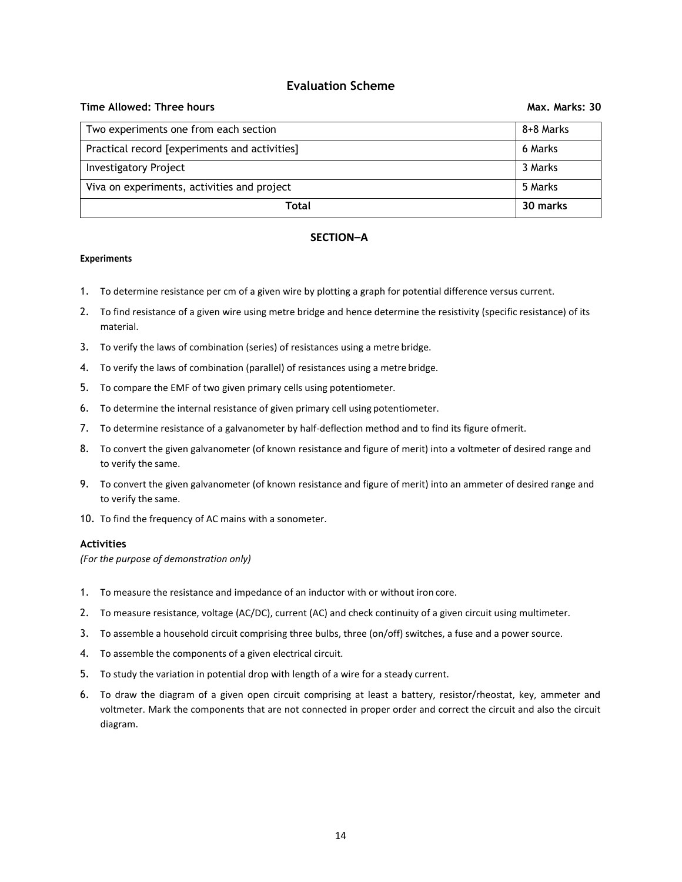# **Evaluation Scheme**

### **Time Allowed: Three hours Max. Marks: 30**

| Two experiments one from each section         | 8+8 Marks |
|-----------------------------------------------|-----------|
| Practical record [experiments and activities] | 6 Marks   |
| <b>Investigatory Project</b>                  | 3 Marks   |
| Viva on experiments, activities and project   | 5 Marks   |
| Total                                         | 30 marks  |

# **SECTION–A**

### **Experiments**

- 1. To determine resistance per cm of a given wire by plotting a graph for potential difference versus current.
- 2. To find resistance of a given wire using metre bridge and hence determine the resistivity (specific resistance) of its material.
- 3. To verify the laws of combination (series) of resistances using a metre bridge.
- 4. To verify the laws of combination (parallel) of resistances using a metre bridge.
- 5. To compare the EMF of two given primary cells using potentiometer.
- 6. To determine the internal resistance of given primary cell using potentiometer.
- 7. To determine resistance of a galvanometer by half-deflection method and to find its figure ofmerit.
- 8. To convert the given galvanometer (of known resistance and figure of merit) into a voltmeter of desired range and to verify the same.
- 9. To convert the given galvanometer (of known resistance and figure of merit) into an ammeter of desired range and to verify the same.
- 10. To find the frequency of AC mains with a sonometer.

### **Activities**

*(For the purpose of demonstration only)*

- 1. To measure the resistance and impedance of an inductor with or without iron core.
- 2. To measure resistance, voltage (AC/DC), current (AC) and check continuity of a given circuit using multimeter.
- 3. To assemble a household circuit comprising three bulbs, three (on/off) switches, a fuse and a power source.
- 4. To assemble the components of a given electrical circuit.
- 5. To study the variation in potential drop with length of a wire for a steady current.
- 6. To draw the diagram of a given open circuit comprising at least a battery, resistor/rheostat, key, ammeter and voltmeter. Mark the components that are not connected in proper order and correct the circuit and also the circuit diagram.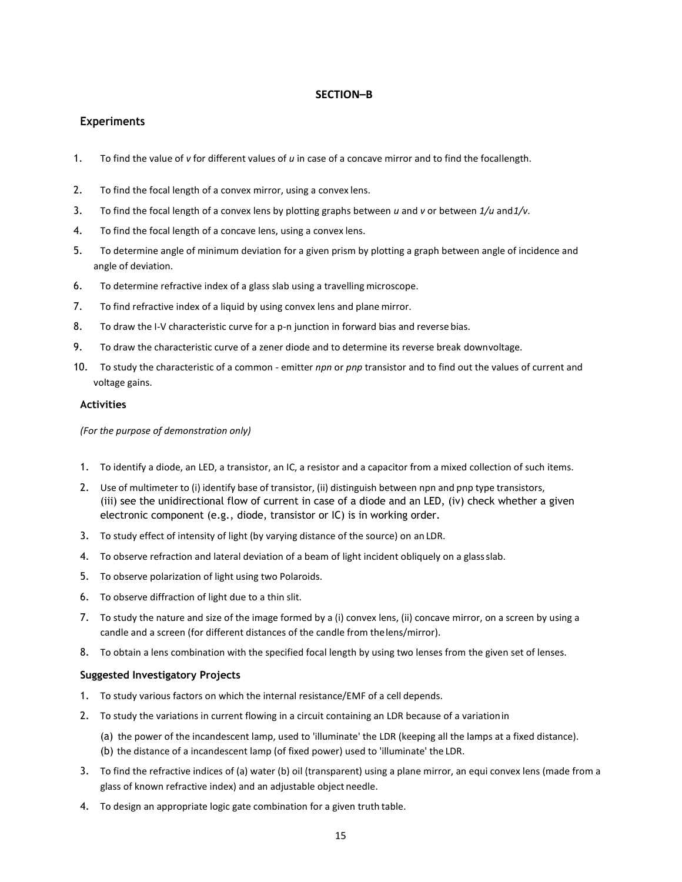## **SECTION–B**

### **Experiments**

- 1. To find the value of *v* for different values of *u* in case of a concave mirror and to find the focallength.
- 2. To find the focal length of a convex mirror, using a convex lens.
- 3. To find the focal length of a convex lens by plotting graphs between *u* and *v* or between *1/u* and*1/v*.
- 4. To find the focal length of a concave lens, using a convex lens.
- 5. To determine angle of minimum deviation for a given prism by plotting a graph between angle of incidence and angle of deviation.
- 6. To determine refractive index of a glass slab using a travelling microscope.
- 7. To find refractive index of a liquid by using convex lens and plane mirror.
- 8. To draw the I-V characteristic curve for a p-n junction in forward bias and reverse bias.
- 9. To draw the characteristic curve of a zener diode and to determine its reverse break downvoltage.
- 10. To study the characteristic of a common emitter *npn* or *pnp* transistor and to find out the values of current and voltage gains.

### **Activities**

*(For the purpose of demonstration only)*

- 1. To identify a diode, an LED, a transistor, an IC, a resistor and a capacitor from a mixed collection of such items.
- 2. Use of multimeter to (i) identify base of transistor, (ii) distinguish between npn and pnp type transistors, (iii) see the unidirectional flow of current in case of a diode and an LED, (iv) check whether a given electronic component (e.g., diode, transistor or IC) is in working order.
- 3. To study effect of intensity of light (by varying distance of the source) on an LDR.
- 4. To observe refraction and lateral deviation of a beam of light incident obliquely on a glassslab.
- 5. To observe polarization of light using two Polaroids.
- 6. To observe diffraction of light due to a thin slit.
- 7. To study the nature and size of the image formed by a (i) convex lens, (ii) concave mirror, on a screen by using a candle and a screen (for different distances of the candle from thelens/mirror).
- 8. To obtain a lens combination with the specified focal length by using two lenses from the given set of lenses.

### **Suggested Investigatory Projects**

- 1. To study various factors on which the internal resistance/EMF of a cell depends.
- 2. To study the variations in current flowing in a circuit containing an LDR because of a variationin
	- (a) the power of the incandescent lamp, used to 'illuminate' the LDR (keeping all the lamps at a fixed distance).
	- (b) the distance of a incandescent lamp (of fixed power) used to 'illuminate' the LDR.
- 3. To find the refractive indices of (a) water (b) oil (transparent) using a plane mirror, an equi convex lens (made from a glass of known refractive index) and an adjustable object needle.
- 4. To design an appropriate logic gate combination for a given truth table.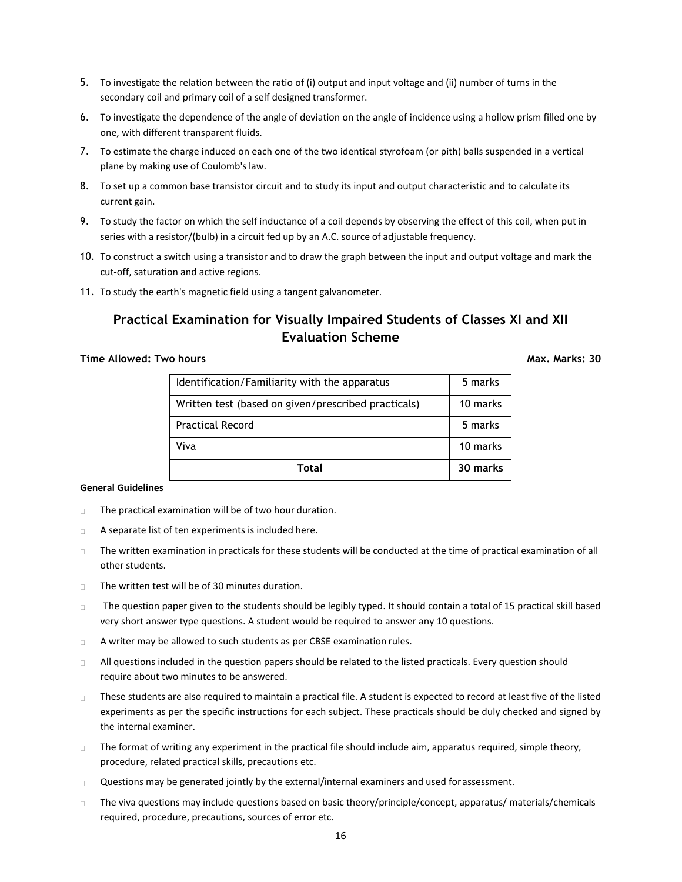- 5. To investigate the relation between the ratio of (i) output and input voltage and (ii) number of turns in the secondary coil and primary coil of a self designed transformer.
- 6. To investigate the dependence of the angle of deviation on the angle of incidence using a hollow prism filled one by one, with different transparent fluids.
- 7. To estimate the charge induced on each one of the two identical styrofoam (or pith) balls suspended in a vertical plane by making use of Coulomb's law.
- 8. To set up a common base transistor circuit and to study its input and output characteristic and to calculate its current gain.
- 9. To study the factor on which the self inductance of a coil depends by observing the effect of this coil, when put in series with a resistor/(bulb) in a circuit fed up by an A.C. source of adjustable frequency.
- 10. To construct a switch using a transistor and to draw the graph between the input and output voltage and mark the cut-off, saturation and active regions.
- 11. To study the earth's magnetic field using a tangent galvanometer.

# **Practical Examination for Visually Impaired Students of Classes XI and XII Evaluation Scheme**

### **Time Allowed: Two hours Max. Marks: 30**

| Identification/Familiarity with the apparatus       | 5 marks  |
|-----------------------------------------------------|----------|
| Written test (based on given/prescribed practicals) | 10 marks |
| <b>Practical Record</b>                             | 5 marks  |
| Viva                                                | 10 marks |
| Total                                               | 30 marks |

### **General Guidelines**

- The practical examination will be of two hour duration.  $\Box$
- A separate list of ten experiments is included here.  $\Box$
- The written examination in practicals for these students will be conducted at the time of practical examination of all  $\Box$ other students.
- The written test will be of 30 minutes duration.  $\Box$
- The question paper given to the students should be legibly typed. It should contain a total of 15 practical skill based  $\Box$ very short answer type questions. A student would be required to answer any 10 questions.
- A writer may be allowed to such students as per CBSE examination rules.  $\Box$
- All questions included in the question papers should be related to the listed practicals. Every question should  $\Box$ require about two minutes to be answered.
- These students are also required to maintain a practical file. A student is expected to record at least five of the listed  $\Box$ experiments as per the specific instructions for each subject. These practicals should be duly checked and signed by the internal examiner.
- The format of writing any experiment in the practical file should include aim, apparatus required, simple theory,  $\Box$ procedure, related practical skills, precautions etc.
- Questions may be generated jointly by the external/internal examiners and used forassessment.  $\Box$
- The viva questions may include questions based on basic theory/principle/concept, apparatus/ materials/chemicals  $\Box$ required, procedure, precautions, sources of error etc.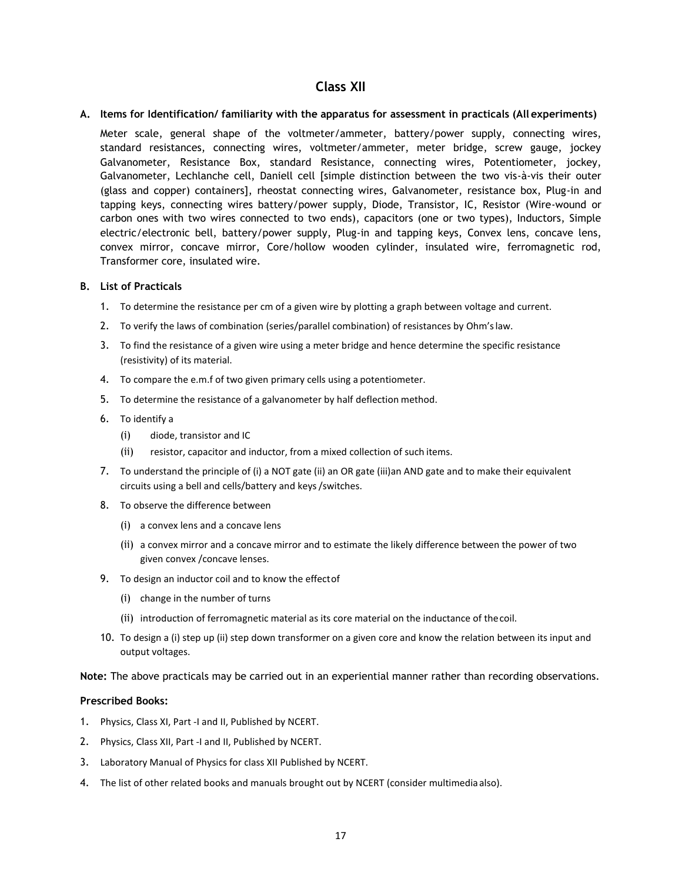# **Class XII**

## **A. Items for Identification/ familiarity with the apparatus for assessment in practicals (All experiments)**

Meter scale, general shape of the voltmeter/ammeter, battery/power supply, connecting wires, standard resistances, connecting wires, voltmeter/ammeter, meter bridge, screw gauge, jockey Galvanometer, Resistance Box, standard Resistance, connecting wires, Potentiometer, jockey, Galvanometer, Lechlanche cell, Daniell cell [simple distinction between the two vis-à-vis their outer (glass and copper) containers], rheostat connecting wires, Galvanometer, resistance box, Plug-in and tapping keys, connecting wires battery/power supply, Diode, Transistor, IC, Resistor (Wire-wound or carbon ones with two wires connected to two ends), capacitors (one or two types), Inductors, Simple electric/electronic bell, battery/power supply, Plug-in and tapping keys, Convex lens, concave lens, convex mirror, concave mirror, Core/hollow wooden cylinder, insulated wire, ferromagnetic rod, Transformer core, insulated wire.

### **B. List of Practicals**

- 1. To determine the resistance per cm of a given wire by plotting a graph between voltage and current.
- 2. To verify the laws of combination (series/parallel combination) of resistances by Ohm'slaw.
- 3. To find the resistance of a given wire using a meter bridge and hence determine the specific resistance (resistivity) of its material.
- 4. To compare the e.m.f of two given primary cells using a potentiometer.
- 5. To determine the resistance of a galvanometer by half deflection method.
- 6. To identify a
	- (i) diode, transistor and IC
	- (ii) resistor, capacitor and inductor, from a mixed collection of such items.
- 7. To understand the principle of (i) a NOT gate (ii) an OR gate (iii)an AND gate and to make their equivalent circuits using a bell and cells/battery and keys/switches.
- 8. To observe the difference between
	- (i) a convex lens and a concave lens
	- (ii) a convex mirror and a concave mirror and to estimate the likely difference between the power of two given convex /concave lenses.
- 9. To design an inductor coil and to know the effectof
	- (i) change in the number of turns
	- (ii) introduction of ferromagnetic material as its core material on the inductance of thecoil.
- 10. To design a (i) step up (ii) step down transformer on a given core and know the relation between its input and output voltages.

**Note:** The above practicals may be carried out in an experiential manner rather than recording observations.

### **Prescribed Books:**

- 1. Physics, Class XI, Part -I and II, Published by NCERT.
- 2. Physics, Class XII, Part -I and II, Published by NCERT.
- 3. Laboratory Manual of Physics for class XII Published by NCERT.
- 4. The list of other related books and manuals brought out by NCERT (consider multimediaalso).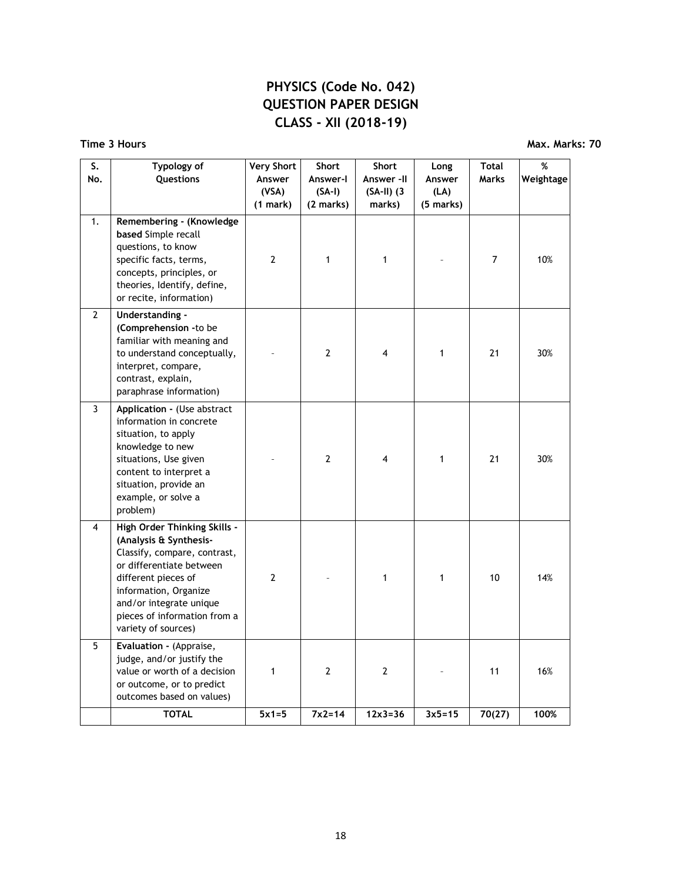# **PHYSICS (Code No. 042) QUESTION PAPER DESIGN CLASS - XII (2018-19)**

**Time 3 Hours Max. Marks: 70**

| S.<br>No.      | <b>Typology of</b><br><b>Questions</b>                                                                                                                                                                                                               | <b>Very Short</b><br>Answer<br>(VSA)<br>(1 mark) | <b>Short</b><br>Answer-I<br>$(SA-I)$<br>(2 marks) | Short<br>Answer-II<br>$(SA-II)$ (3<br>marks) | Long<br>Answer<br>(LA)<br>(5 marks) | <b>Total</b><br><b>Marks</b> | $\%$<br>Weightage |
|----------------|------------------------------------------------------------------------------------------------------------------------------------------------------------------------------------------------------------------------------------------------------|--------------------------------------------------|---------------------------------------------------|----------------------------------------------|-------------------------------------|------------------------------|-------------------|
| 1.             | Remembering - (Knowledge<br>based Simple recall<br>questions, to know<br>specific facts, terms,<br>concepts, principles, or<br>theories, Identify, define,<br>or recite, information)                                                                | $\overline{2}$                                   | $\mathbf{1}$                                      | $\mathbf{1}$                                 |                                     | $\overline{7}$               | 10%               |
| $\overline{2}$ | Understanding -<br>(Comprehension -to be<br>familiar with meaning and<br>to understand conceptually,<br>interpret, compare,<br>contrast, explain,<br>paraphrase information)                                                                         |                                                  | $\overline{2}$                                    | 4                                            | $\mathbf{1}$                        | 21                           | 30%               |
| 3              | Application - (Use abstract<br>information in concrete<br>situation, to apply<br>knowledge to new<br>situations, Use given<br>content to interpret a<br>situation, provide an<br>example, or solve a<br>problem)                                     |                                                  | $\overline{2}$                                    | $\overline{4}$                               | $\mathbf{1}$                        | 21                           | 30%               |
| $\overline{4}$ | High Order Thinking Skills -<br>(Analysis & Synthesis-<br>Classify, compare, contrast,<br>or differentiate between<br>different pieces of<br>information, Organize<br>and/or integrate unique<br>pieces of information from a<br>variety of sources) | $\overline{2}$                                   |                                                   | 1                                            | $\mathbf{1}$                        | 10                           | 14%               |
| 5              | Evaluation - (Appraise,<br>judge, and/or justify the<br>value or worth of a decision<br>or outcome, or to predict<br>outcomes based on values)                                                                                                       | $\mathbf{1}$                                     | $\overline{2}$                                    | $\mathbf{2}$                                 |                                     | 11                           | 16%               |
|                | <b>TOTAL</b>                                                                                                                                                                                                                                         | $5x1=5$                                          | $7x2=14$                                          | $12x3=36$                                    | $3x5 = 15$                          | 70(27)                       | 100%              |